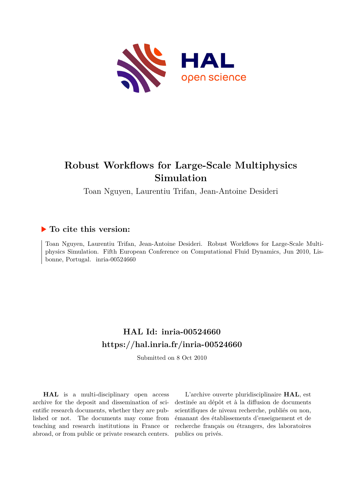

# **Robust Workflows for Large-Scale Multiphysics Simulation**

Toan Nguyen, Laurentiu Trifan, Jean-Antoine Desideri

## **To cite this version:**

Toan Nguyen, Laurentiu Trifan, Jean-Antoine Desideri. Robust Workflows for Large-Scale Multiphysics Simulation. Fifth European Conference on Computational Fluid Dynamics, Jun 2010, Lisbonne, Portugal. inria-00524660

## **HAL Id: inria-00524660 <https://hal.inria.fr/inria-00524660>**

Submitted on 8 Oct 2010

**HAL** is a multi-disciplinary open access archive for the deposit and dissemination of scientific research documents, whether they are published or not. The documents may come from teaching and research institutions in France or abroad, or from public or private research centers.

L'archive ouverte pluridisciplinaire **HAL**, est destinée au dépôt et à la diffusion de documents scientifiques de niveau recherche, publiés ou non, émanant des établissements d'enseignement et de recherche français ou étrangers, des laboratoires publics ou privés.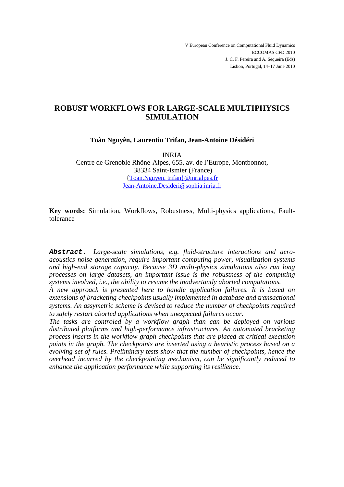V European Conference on Computational Fluid Dynamics ECCOMAS CFD 2010 J. C. F. Pereira and A. Sequeira (Eds) Lisbon, Portugal, 14–17 June 2010

## **ROBUST WORKFLOWS FOR LARGE-SCALE MULTIPHYSICS SIMULATION**

**Toàn Nguyên, Laurentiu Trifan, Jean-Antoine Désidéri**

INRIA Centre de Grenoble Rhône-Alpes, 655, av. de l'Europe, Montbonnot, 38334 Saint-Ismier (France) {Toan.Nguyen, trifan}@inrialpes.fr Jean-Antoine.Desideri@sophia.inria.fr

**Key words:** Simulation, Workflows, Robustness, Multi-physics applications, Faulttolerance

**Abstract.** *Large-scale simulations, e.g. fluid-structure interactions and aeroacoustics noise generation, require important computing power, visualization systems and high-end storage capacity. Because 3D multi-physics simulations also run long processes on large datasets, an important issue is the robustness of the computing systems involved, i.e., the ability to resume the inadvertantly aborted computations.* 

*A new approach is presented here to handle application failures. It is based on extensions of bracketing checkpoints usually implemented in database and transactional systems. An assymetric scheme is devised to reduce the number of checkpoints required to safely restart aborted applications when unexpected failures occur.* 

*The tasks are controled by a workflow graph than can be deployed on various distributed platforms and high-performance infrastructures. An automated bracketing process inserts in the workflow graph checkpoints that are placed at critical execution points in the graph. The checkpoints are inserted using a heuristic process based on a evolving set of rules. Preliminary tests show that the number of checkpoints, hence the overhead incurred by the checkpointing mechanism, can be significantly reduced to enhance the application performance while supporting its resilience.*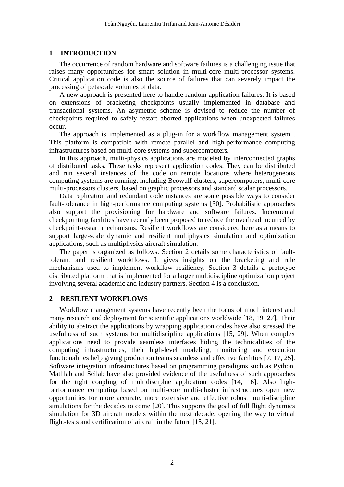## **1 INTRODUCTION**

The occurrence of random hardware and software failures is a challenging issue that raises many opportunities for smart solution in multi-core multi-processor systems. Critical application code is also the source of failures that can severely impact the processing of petascale volumes of data.

A new approach is presented here to handle random application failures. It is based on extensions of bracketing checkpoints usually implemented in database and transactional systems. An asymetric scheme is devised to reduce the number of checkpoints required to safely restart aborted applications when unexpected failures occur.

The approach is implemented as a plug-in for a workflow management system . This platform is compatible with remote parallel and high-performance computing infrastructures based on multi-core systems and supercomputers.

In this approach, multi-physics applications are modeled by interconnected graphs of distributed tasks. These tasks represent application codes. They can be distributed and run several instances of the code on remote locations where heterogeneous computing systems are running, including Beowulf clusters, supercomputers, multi-core multi-processors clusters, based on graphic processors and standard scalar processors.

Data replication and redundant code instances are some possible ways to consider fault-tolerance in high-performance computing systems [30]. Probabilistic approaches also support the provisioning for hardware and software failures. Incremental checkpointing facilities have recently been proposed to reduce the overhead incurred by checkpoint-restart mechanisms. Resilient workflows are considered here as a means to support large-scale dynamic and resilient multiphysics simulation and optimization applications, such as multiphysics aircraft simulation.

The paper is organized as follows. Section 2 details some characteristics of faulttolerant and resilient workflows. It gives insights on the bracketing and rule mechanisms used to implement workflow resiliency. Section 3 details a prototype distributed platform that is implemented for a larger multidiscipline optimization project involving several academic and industry partners. Section 4 is a conclusion.

## **2 RESILIENT WORKFLOWS**

Workflow management systems have recently been the focus of much interest and many research and deployment for scientific applications worldwide [18, 19, 27]. Their ability to abstract the applications by wrapping application codes have also stressed the usefulness of such systems for multidiscipline applications [15, 29]. When complex applications need to provide seamless interfaces hiding the technicalities of the computing infrastructures, their high-level modeling, monitoring and execution functionalities help giving production teams seamless and effective facilities [7, 17, 25]. Software integration infrastructures based on programming paradigms such as Python, Mathlab and Scilab have also provided evidence of the usefulness of such approaches for the tight coupling of multidisciplne application codes [14, 16]. Also highperformance computing based on multi-core multi-cluster infrastructures open new opportunities for more accurate, more extensive and effective robust multi-discipline simulations for the decades to come [20]. This supports the goal of full flight dynamics simulation for 3D aircraft models within the next decade, opening the way to virtual flight-tests and certification of aircraft in the future [15, 21].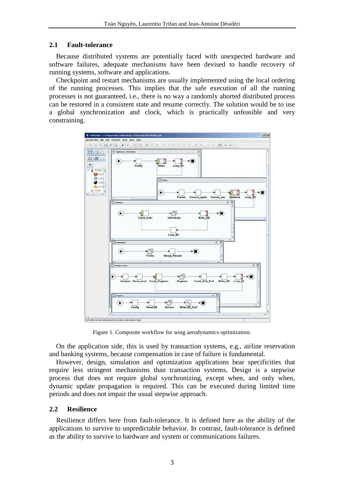## **2.1 Fault-tolerance**

Because distributed systems are potentially faced with unexpected hardware and software failures, adequate mechanisms have been devised to handle recovery of running systems, software and applications.

Checkpoint and restart mechanisms are usually implemented using the local ordering of the running processes. This implies that the safe execution of all the running processes is not guaranteed, i.e., there is no way a randomly aborted distributed process can be restored in a consistent state and resume correctly. The solution would be to use a global synchronization and clock, which is practically unfeasible and very constraining.



Figure 1. Composite workflow for wing aerodynamics optimization.

On the application side, this is used by transaction systems, e.g., airline reservation and banking systems, because compensation in case of failure is fundamental.

However, design, simulation and optimization applications bear specificities that require less stringent mechanisms than transaction systems. Design is a stepwise process that does not require global synchronizing, except when, and only when, dynamic update propagation is required. This can be executed during limited time periods and does not impair the usual stepwise approach.

## **2.2 Resilience**

Resilience differs here from fault-tolerance. It is defined here as the ability of the applications to survive to unpredictable behavior. In contrast, fault-tolerance is defined as the ability to survive to hardware and system or communications failures.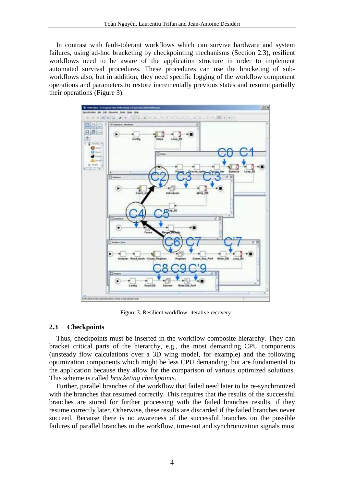In contrast with fault-tolerant workflows which can survive hardware and system failures, using ad-hoc bracketing by checkpointing mechanisms (Section 2.3), resilient workflows need to be aware of the application structure in order to implement automated survival procedures. These procedures can use the bracketing of subworkflows also, but in addition, they need specific logging of the workflow component operations and parameters to restore incrementally previous states and resume partially their operations (Figure 3).



Figure 3. Resilient workflow: iterative recovery

## **2.3 Checkpoints**

Thus, checkpoints must be inserted in the workflow composite hierarchy. They can bracket critical parts of the hierarchy, e.g., the most demanding CPU components (unsteady flow calculations over a 3D wing model, for example) and the following optimization components which might be less CPU demanding, but are fundamental to the application because they allow for the comparison of various optimized solutions. This scheme is called *bracketing checkpoints*.

Further, parallel branches of the workflow that failed need later to be re-synchronized with the branches that resumed correctly. This requires that the results of the successful branches are stored for further processing with the failed branches results, if they resume correctly later. Otherwise, these results are discarded if the failed branches never succeed. Because there is no awareness of the successful branches on the possible failures of parallel branches in the workflow, time-out and synchronization signals must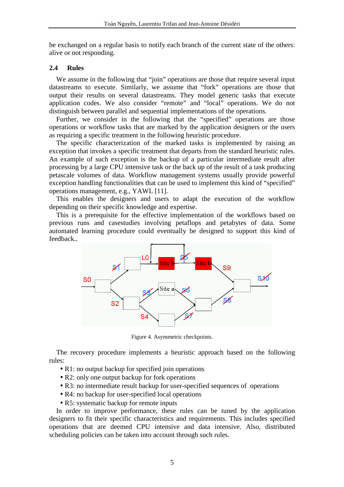be exchanged on a regular basis to notify each branch of the current state of the others: alive or not responding.

## **2.4 Rules**

We assume in the following that "join" operations are those that require several input datastreams to execute. Similarly, we assume that "fork" operations are those that output their results on several datastreams. They model generic tasks that execute application codes. We also consider "remote" and "local" operations. We do not distinguish between parallel and sequential implementations of the operations.

Further, we consider in the following that the "specified" operations are those operations or workflow tasks that are marked by the application designers or the users as requiring a specific treatment in the following heuristic procedure.

The specific characterization of the marked tasks is implemented by raising an exception that invokes a specific treatment that departs from the standard heuristic rules. An example of such exception is the backup of a particular intermediate result after processing by a large CPU intensive task or the back up of the result of a task producing petascale volumes of data. Workflow management systems usually provide powerful exception handling functionalities that can be used to implement this kind of "specified" operations management, e.g., YAWL [11].

This enables the designers and users to adapt the execution of the workflow depending on their specific knowledge and expertise.

This is a prerequisite for the effective implementation of the workflows based on previous runs and casestudies involving petaflops and petabytes of data. Some automated learning procedure could eventually be designed to support this kind of feedback.**.**



Figure 4. Asymmetric checkpoints.

The recovery procedure implements a heuristic approach based on the following rules:

- R1: no output backup for specified join operations
- R2: only one output backup for fork operations
- R3: no intermediate result backup for user-specified sequences of operations
- R4: no backup for user-specified local operations
- R5: systematic backup for remote inputs

In order to improve performance, these rules can be tuned by the application designers to fit their specific characteristics and requirements. This includes specified operations that are deemed CPU intensive and data intensive. Also, distributed scheduling policies can be taken into account through such rules.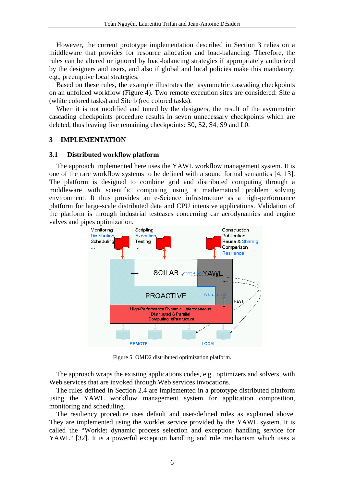However, the current prototype implementation described in Section 3 relies on a middleware that provides for resource allocation and load-balancing. Therefore, the rules can be altered or ignored by load-balancing strategies if appropriately authorized by the designers and users, and also if global and local policies make this mandatory, e.g., preemptive local strategies.

Based on these rules, the example illustrates the asymmetric cascading checkpoints on an unfolded workflow (Figure 4). Two remote execution sites are considered: Site a (white colored tasks) and Site b (red colored tasks).

When it is not modified and tuned by the designers, the result of the asymmetric cascading checkpoints procedure results in seven unnecessary checkpoints which are deleted, thus leaving five remaining checkpoints: S0, S2, S4, S9 and L0.

#### **3 IMPLEMENTATION**

#### **3.1 Distributed workflow platform**

The approach implemented here uses the YAWL workflow management system. It is one of the rare workflow systems to be defined with a sound formal semantics [4, 13]. The platform is designed to combine grid and distributed computing through a middleware with scientific computing using a mathematical problem solving environment. It thus provides an e-Science infrastructure as a high-performance platform for large-scale distributed data and CPU intensive applications. Validation of the platform is through industrial testcases concerning car aerodynamics and engine valves and pipes optimization.



Figure 5. OMD2 distributed optimization platform.

The approach wraps the existing applications codes, e.g., optimizers and solvers, with Web services that are invoked through Web services invocations.

The rules defined in Section 2.4 are implemented in a prototype distributed platform using the YAWL workflow management system for application composition, monitoring and scheduling.

The resiliency procedure uses default and user-defined rules as explained above. They are implemented using the worklet service provided by the YAWL system. It is called the "Worklet dynamic process selection and exception handling service for YAWL" [32]. It is a powerful exception handling and rule mechanism which uses a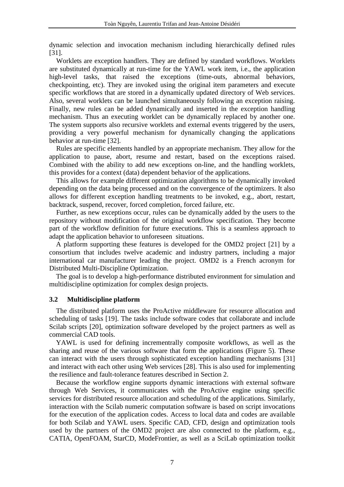dynamic selection and invocation mechanism including hierarchically defined rules [31].

Worklets are exception handlers. They are defined by standard workflows. Worklets are substituted dynamically at run-time for the YAWL work item, i.e., the application high-level tasks, that raised the exceptions (time-outs, abnormal behaviors, checkpointing, etc). They are invoked using the original item parameters and execute specific workflows that are stored in a dynamically updated directory of Web services. Also, several worklets can be launched simultaneously following an exception raising. Finally, new rules can be added dynamically and inserted in the exception handling mechanism. Thus an executing worklet can be dynamically replaced by another one. The system supports also recursive worklets and external events triggered by the users, providing a very powerful mechanism for dynamically changing the applications behavior at run-time [32].

Rules are specific elements handled by an appropriate mechanism. They allow for the application to pause, abort, resume and restart, based on the exceptions raised. Combined with the ability to add new exceptions on-line, and the handling worklets, this provides for a context (data) dependent behavior of the applications.

This allows for example different optimization algorithms to be dynamically invoked depending on the data being processed and on the convergence of the optimizers. It also allows for different exception handling treatments to be invoked, e.g., abort, restart, backtrack, suspend, recover, forced completion, forced failure, etc.

Further, as new exceptions occur, rules can be dynamically added by the users to the repository without modification of the original workflow specification. They become part of the workflow definition for future executions. This is a seamless approach to adapt the application behavior to unforeseen situations.

A platform supporting these features is developed for the OMD2 project [21] by a consortium that includes twelve academic and industry partners, including a major international car manufacturer leading the project. OMD2 is a French acronym for Distributed Multi-Discipline Optimization.

The goal is to develop a high-performance distributed environment for simulation and multidiscipline optimization for complex design projects.

#### **3.2 Multidiscipline platform**

The distributed platform uses the ProActive middleware for resource allocation and scheduling of tasks [19]. The tasks include software codes that collaborate and include Scilab scripts [20], optimization software developed by the project partners as well as commercial CAD tools.

YAWL is used for defining incrementrally composite workflows, as well as the sharing and reuse of the various software that form the applications (Figure 5). These can interact with the users through sophisticated exception handling mechanisms [31] and interact with each other using Web services [28]. This is also used for implementing the resilience and fault-tolerance features described in Section 2.

Because the workflow engine supports dynamic interactions with external software through Web Services, it communicates with the ProActive engine using specific services for distributed resource allocation and scheduling of the applications. Similarly, interaction with the Scilab numeric computation software is based on script invocations for the execution of the application codes. Access to local data and codes are available for both Scilab and YAWL users. Specific CAD, CFD, design and optimization tools used by the partners of the OMD2 project are also connected to the platform, e.g., CATIA, OpenFOAM, StarCD, ModeFrontier, as well as a SciLab optimization toolkit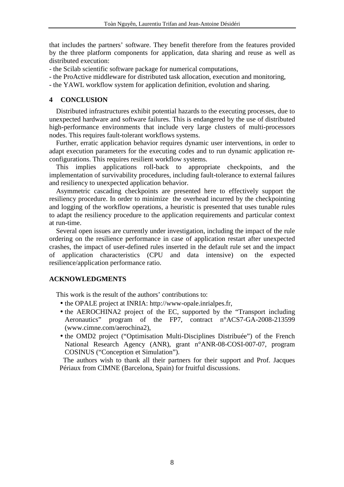that includes the partners' software. They benefit therefore from the features provided by the three platform components for application, data sharing and reuse as well as distributed execution:

- the Scilab scientific software package for numerical computations,

- the ProActive middleware for distributed task allocation, execution and monitoring,

- the YAWL workflow system for application definition, evolution and sharing.

## **4 CONCLUSION**

Distributed infrastructures exhibit potential hazards to the executing processes, due to unexpected hardware and software failures. This is endangered by the use of distributed high-performance environments that include very large clusters of multi-processors nodes. This requires fault-tolerant workflows systems.

Further, erratic application behavior requires dynamic user interventions, in order to adapt execution parameters for the executing codes and to run dynamic application reconfigurations. This requires resilient workflow systems.

This implies applications roll-back to appropriate checkpoints, and the implementation of survivability procedures, including fault-tolerance to external failures and resiliency to unexpected application behavior.

Asymmetric cascading checkpoints are presented here to effectively support the resiliency procedure. In order to minimize the overhead incurred by the checkpointing and logging of the workflow operations, a heuristic is presented that uses tunable rules to adapt the resiliency procedure to the application requirements and particular context at run-time.

Several open issues are currently under investigation, including the impact of the rule ordering on the resilience performance in case of application restart after unexpected crashes, the impact of user-defined rules inserted in the default rule set and the impact of application characteristics (CPU and data intensive) on the expected resilience/application performance ratio.

## **ACKNOWLEDGMENTS**

This work is the result of the authors' contributions to:

- the OPALE project at INRIA: http://www-opale.inrialpes.fr,
- the AEROCHINA2 project of the EC, supported by the "Transport including Aeronautics" program of the FP7, contract n°ACS7-GA-2008-213599 (www.cimne.com/aerochina2),
- the OMD2 project ("Optimisation Multi-Disciplines Distribuée") of the French National Research Agency (ANR), grant n°ANR-08-COSI-007-07, program COSINUS ("Conception et Simulation").

The authors wish to thank all their partners for their support and Prof. Jacques Périaux from CIMNE (Barcelona, Spain) for fruitful discussions.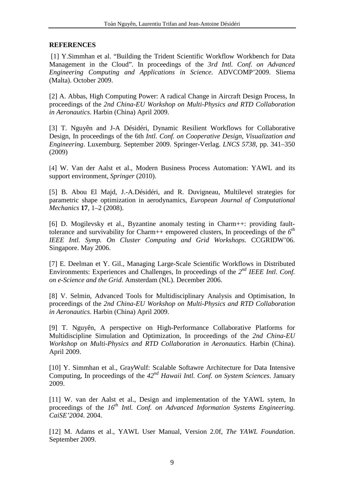## **REFERENCES**

 [1] Y.Simmhan et al. "Building the Trident Scientific Workflow Workbench for Data Management in the Cloud". In proceedings of the *3rd Intl. Conf. on Advanced Engineering Computing and Applications in Science*. ADVCOMP'2009. Sliema (Malta). October 2009.

[2] A. Abbas, High Computing Power: A radical Change in Aircraft Design Process, In proceedings of the *2nd China-EU Workshop on Multi-Physics and RTD Collaboration in Aeronautics*. Harbin (China) April 2009.

[3] T. Nguyên and J-A Désidéri, Dynamic Resilient Workflows for Collaborative Design, In proceedings of the 6th *Intl. Conf. on Cooperative Design, Visualization and Engineering*. Luxemburg. September 2009. Springer-Verlag. *LNCS 5738*, pp. 341–350 (2009)

[4] W. Van der Aalst et al., Modern Business Process Automation: YAWL and its support environment, *Springer* (2010).

[5] B. Abou El Majd, J.-A.Désidéri, and R. Duvigneau, Multilevel strategies for parametric shape optimization in aerodynamics, *European Journal of Computational Mechanics* **17**, 1–2 (2008).

[6] D. Mogilevsky et al., Byzantine anomaly testing in Charm++: providing faulttolerance and survivability for Charm++ empowered clusters, In proceedings of the *6 th IEEE Intl. Symp. On Cluster Computing and Grid Workshops*. CCGRIDW'06. Singapore. May 2006.

[7] E. Deelman et Y. Gil., Managing Large-Scale Scientific Workflows in Distributed Environments: Experiences and Challenges, In proceedings of the 2<sup>nd</sup> IEEE Intl. Conf. *on e-Science and the Grid*. Amsterdam (NL). December 2006.

[8] V. Selmin, Advanced Tools for Multidisciplinary Analysis and Optimisation, In proceedings of the *2nd China-EU Workshop on Multi-Physics and RTD Collaboration in Aeronautics*. Harbin (China) April 2009.

[9] T. Nguyên, A perspective on High-Performance Collaborative Platforms for Multidiscipline Simulation and Optimization, In proceedings of the *2nd China-EU Workshop on Multi-Physics and RTD Collaboration in Aeronautics*. Harbin (China). April 2009.

[10] Y. Simmhan et al., GrayWulf: Scalable Softawre Architecture for Data Intensive Computing, In proceedings of the *42nd Hawaii Intl. Conf. on System Sciences*. January 2009.

[11] W. van der Aalst et al., Design and implementation of the YAWL sytem, In proceedings of the 16<sup>th</sup> Intl. Conf. on Advanced Information Systems Engineering. *CaiSE'2004*. 2004.

[12] M. Adams et al., YAWL User Manual, Version 2.0f, *The YAWL Foundation*. September 2009.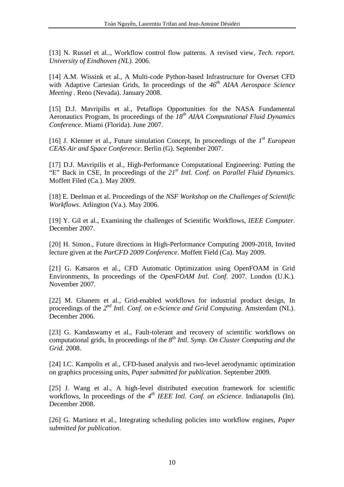[13] N. Russel et al.., Workflow control flow patterns. A revised view, *Tech. report. University of Eindhoven (NL)*. 2006.

[14] A.M. Wissink et al., A Multi-code Python-based Infrastructure for Overset CFD with Adaptive Cartesian Grids, In proceedings of the  $46^{th}$  AIAA Aerospace Science *Meeting* . Reno (Nevada). January 2008.

[15] D.J. Mavripilis et al., Petaflops Opportunities for the NASA Fundamental Aeronautics Program, In proceedings of the *18th AIAA Computational Fluid Dynamics Conference*. Miami (Florida). June 2007.

[16] J. Klenner et al., Future simulation Concept, In proceedings of the  $I<sup>st</sup> European$ *CEAS Air and Space Conference*. Berlin (G). September 2007.

[17] D.J. Mavripilis et al., High-Performance Computational Engineering: Putting the "E" Back in CSE, In proceedings of the *21st Intl. Conf. on Parallel Fluid Dynamics*. Moffett Filed (Ca.). May 2009.

[18] E. Deelman et al. Proceedings of the *NSF Workshop on the Challenges of Scientific Workflows*. Arlington (Va.). May 2006.

[19] Y. Gil et al., Examining the challenges of Scientific Workflows, *IEEE Computer*. December 2007.

[20] H. Simon., Future directions in High-Performance Computing 2009-2018, Invited lecture given at the *ParCFD 2009 Conference*. Moffett Field (Ca). May 2009.

[21] G. Katsaros et al., CFD Automatic Optimization using OpenFOAM in Grid Environments, In proceedings of the *OpenFOAM Intl. Conf*. 2007. London (U.K.). November 2007.

[22] M. Ghanem et al., Grid-enabled workflows for industrial product design, In proceedings of the 2<sup>nd</sup> Intl. Conf. on e-Science and Grid Computing. Amsterdam (NL). December 2006.

[23] G. Kandaswamy et al., Fault-tolerant and recovery of scientific workflows on computational grids, In proceedings of the  $8^{th}$  *Intl. Symp. On Cluster Computing and the Grid*. 2008.

[24] I.C. Kampolis et al., CFD-based analysis and two-level aerodynamic optimization on graphics processing units, *Paper submitted for publication*. September 2009.

[25] J. Wang et al., A high-level distributed execution framework for scientific workflows, In proceedings of the 4<sup>th</sup> IEEE Intl. Conf. on eScience. Indianapolis (In). December 2008.

[26] G. Martinez et al., Integrating scheduling policies into workflow engines, *Paper submitted for publication*.